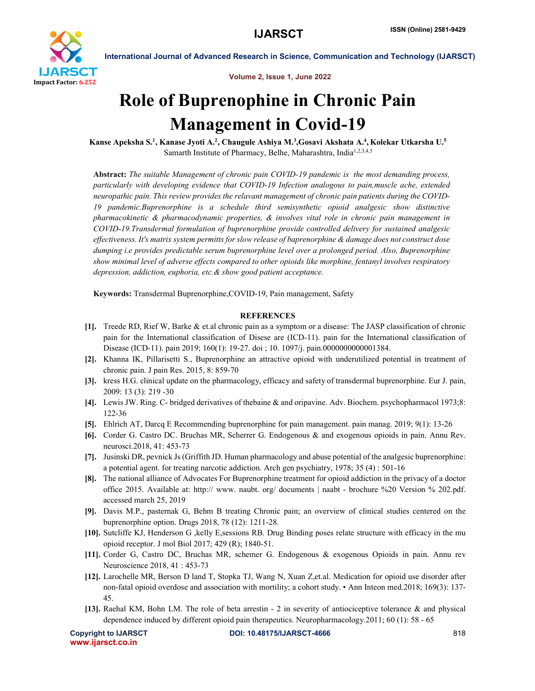

International Journal of Advanced Research in Science, Communication and Technology (IJARSCT)

Volume 2, Issue 1, June 2022

# Role of Buprenophine in Chronic Pain Management in Covid-19

Kanse Apeksha S.<sup>1</sup>, Kanase Jyoti A.<sup>2</sup>, Chaugule Ashiya M.<sup>3</sup>,Gosavi Akshata A.<sup>4</sup>, Kolekar Utkarsha U.<sup>5</sup> Samarth Institute of Pharmacy, Belhe, Maharashtra, India<sup>1,2,3,4,5</sup>

Abstract: *The suitable Management of chronic pain COVID-19 pandemic is the most demanding process, particularly with developing evidence that COVID-19 Infection analogous to pain,muscle ache, extended neuropathic pain. This review provides the relavant management of chronic pain patients during the COVID-19 pandemic.Buprenorphine is a schedule third semisynthetic opioid analgesic show distinctive pharmacokinetic & pharmacodynamic properties, & involves vital role in chronic pain management in COVID-19.Transdermal formulation of buprenorphine provide controlled delivery for sustained analgesic effectiveness. It's matrix system permitts for slow release of baprenorphine & damage does not construct dose dumping i.e provides predictable serum buprenorphine level over a prolonged period. Also, Buprenorphine show minimal level of adverse effects compared to other opioids like morphine, fentanyl involves respiratory depression, addiction, euphoria, etc.& show good patient acceptance.*

Keywords: Transdermal Buprenorphine,COVID-19, Pain management, Safety

### **REFERENCES**

- [1]. Treede RD, Rief W, Barke & et.al chronic pain as a symptom or a disease: The JASP classification of chronic pain for the International classification of Disese are (ICD-11). pain for the International classification of Disease (ICD-11). pain 2019; 160(1): 19-27. doi ; 10. 1097/j. pain.0000000000001384.
- [2]. Khanna IK, Pillarisetti S., Buprenorphine an attractive opioid with underutilized potential in treatment of chronic pain. J pain Res. 2015, 8: 859-70
- [3]. kress H.G. clinical update on the pharmacology, efficacy and safety of transdermal buprenorphine. Eur J. pain, 2009: 13 (3): 219 -30
- [4]. Lewis JW. Ring. C- bridged derivatives of thebaine & and oripavine. Adv. Biochem. psychopharmacol 1973;8: 122-36
- [5]. Ehlrich AT, Darcq E Recommending buprenorphine for pain management. pain manag. 2019; 9(1): 13-26
- [6]. Corder G. Castro DC. Bruchas MR, Scherrer G. Endogenous & and exogenous opioids in pain. Annu Rev. neurosci.2018, 41: 453-73
- [7]. Jusinski DR, pevnick Js (Griffith JD. Human pharmacology and abuse potential of the analgesic buprenorphine: a potential agent. for treating narcotic addiction. Arch gen psychiatry, 1978; 35 (4) : 501-16
- [8]. The national alliance of Advocates For Buprenorphine treatment for opioid addiction in the privacy of a doctor office 2015. Available at: http:// www. naubt. org/ documents | naabt - brochure %20 Version % 202.pdf. accessed march 25, 2019
- [9]. Davis M.P., pasternak G, Behm B treating Chronic pain; an overview of clinical studies centered on the buprenorphine option. Drugs 2018, 78 (12): 1211-28.
- [10]. Sutcliffe KJ, Henderson G ,kelly E,sessions RB. Drug Binding poses relate structure with efficacy in the mu opioid receptor. J mol Biol 2017; 429 (R); 1840-51.
- [11]. Corder G, Castro DC, Bruchas MR, schemer G. Endogenous & exogenous Opioids in pain. Annu rev Neuroscience 2018, 41 : 453-73
- [12]. Larochelle MR, Berson D land T, Stopka TJ, Wang N, Xuan Z,et.al. Medication for opioid use disorder after non-fatal opioid overdose and association with mortility; a cohort study. • Ann Inteon med.2018; 169(3): 137- 45.
- [13]. Raehal KM, Bohn LM. The role of beta arrestin 2 in severity of antiociceptive tolerance & and physical dependence induced by different opioid pain therapeutics. Neuropharmacology.2011; 60 (1): 58 - 65

```
www.ijarsct.co.in
```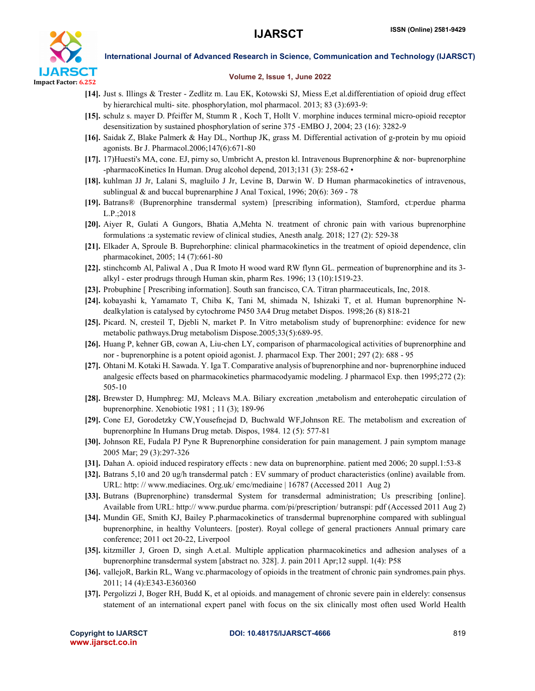

International Journal of Advanced Research in Science, Communication and Technology (IJARSCT)

### Volume 2, Issue 1, June 2022

- [14]. Just s. Illings & Trester Zedlitz m. Lau EK, Kotowski SJ, Miess E,et al.differentiation of opioid drug effect by hierarchical multi- site. phosphorylation, mol pharmacol. 2013; 83 (3):693-9:
- [15]. schulz s. mayer D. Pfeiffer M, Stumm R , Koch T, Hollt V. morphine induces terminal micro-opioid receptor desensitization by sustained phosphorylation of serine 375 -EMBO J, 2004; 23 (16): 3282-9
- [16]. Saidak Z, Blake Palmerk & Hay DL, Northup JK, grass M. Differential activation of g-protein by mu opioid agonists. Br J. Pharmacol.2006;147(6):671-80
- [17]. 17)Huesti's MA, cone. EJ, pirny so, Umbricht A, preston kl. Intravenous Buprenorphine & nor- buprenorphine -pharmacoKinetics In Human. Drug alcohol depend, 2013;131 (3): 258-62 •
- [18]. kuhlman JJ Jr, Lalani S, magluilo J Jr, Levine B, Darwin W. D Human pharmacokinetics of intravenous, sublingual & and buccal buprenarphine J Anal Toxical, 1996; 20(6): 369 - 78
- [19]. Batrans® (Buprenorphine transdermal system) [prescribing information), Stamford, ct:perdue pharma L.P.;2018
- [20]. Aiyer R, Gulati A Gungors, Bhatia A,Mehta N. treatment of chronic pain with various buprenorphine formulations :a systematic review of clinical studies, Anesth analg. 2018; 127 (2): 529-38
- [21]. Elkader A, Sproule B. Buprehorphine: clinical pharmacokinetics in the treatment of opioid dependence, clin pharmacokinet, 2005; 14 (7):661-80
- [22]. stinchcomb Al, Paliwal A , Dua R Imoto H wood ward RW flynn GL. permeation of buprenorphine and its 3 alkyl - ester prodrugs through Human skin, pharm Res. 1996; 13 (10):1519-23.
- [23]. Probuphine [ Prescribing information]. South san francisco, CA. Titran pharmaceuticals, Inc, 2018.
- [24]. kobayashi k, Yamamato T, Chiba K, Tani M, shimada N, Ishizaki T, et al. Human buprenorphine Ndealkylation is catalysed by cytochrome P450 3A4 Drug metabet Dispos. 1998;26 (8) 818-21
- [25]. Picard. N, cresteil T, Djebli N, market P. In Vitro metabolism study of buprenorphine: evidence for new metabolic pathways.Drug metabolism Dispose.2005;33(5):689-95.
- [26]. Huang P, kehner GB, cowan A, Liu-chen LY, comparison of pharmacological activities of buprenorphine and nor - buprenorphine is a potent opioid agonist. J. pharmacol Exp. Ther 2001; 297 (2): 688 - 95
- [27]. Ohtani M. Kotaki H. Sawada. Y. Iga T. Comparative analysis of buprenorphine and nor- buprenorphine induced analgesic effects based on pharmacokinetics pharmacodyamic modeling. J pharmacol Exp. then 1995;272 (2): 505-10
- [28]. Brewster D, Humphreg: MJ, Mcleavs M.A. Biliary excreation ,metabolism and enterohepatic circulation of buprenorphine. Xenobiotic 1981 ; 11 (3); 189-96
- [29]. Cone EJ, Gorodetzky CW,Yousefnejad D, Buchwald WF,Johnson RE. The metabolism and excreation of buprenorphine In Humans Drug metab. Dispos, 1984. 12 (5): 577-81
- [30]. Johnson RE, Fudala PJ Pyne R Buprenorphine consideration for pain management. J pain symptom manage 2005 Mar; 29 (3):297-326
- [31]. Dahan A. opioid induced respiratory effects : new data on buprenorphine. patient med 2006; 20 suppl.1:53-8
- [32]. Batrans 5,10 and 20 ug/h transdermal patch : EV summary of product characteristics (online) available from. URL: http: // www.mediacines. Org.uk/ emc/mediaine | 16787 (Accessed 2011 Aug 2)
- [33]. Butrans (Buprenorphine) transdermal System for transdermal administration; Us prescribing [online]. Available from URL: http:// www.purdue pharma. com/pi/prescription/ butranspi: pdf (Accessed 2011 Aug 2)
- [34]. Mundin GE, Smith KJ, Bailey P.pharmacokinetics of transdermal buprenorphine compared with sublingual buprenorphine, in healthy Volunteers. [poster). Royal college of general practioners Annual primary care conference; 2011 oct 20-22, Liverpool
- [35]. kitzmiller J, Groen D, singh A.et.al. Multiple application pharmacokinetics and adhesion analyses of a buprenorphine transdermal system [abstract no. 328]. J. pain 2011 Apr;12 suppl. 1(4): P58
- [36]. vallejoR, Barkin RL, Wang vc.pharmacology of opioids in the treatment of chronic pain syndromes.pain phys. 2011; 14 (4):E343-E360360
- [37]. Pergolizzi J, Boger RH, Budd K, et al opioids. and management of chronic severe pain in elderely: consensus statement of an international expert panel with focus on the six clinically most often used World Health